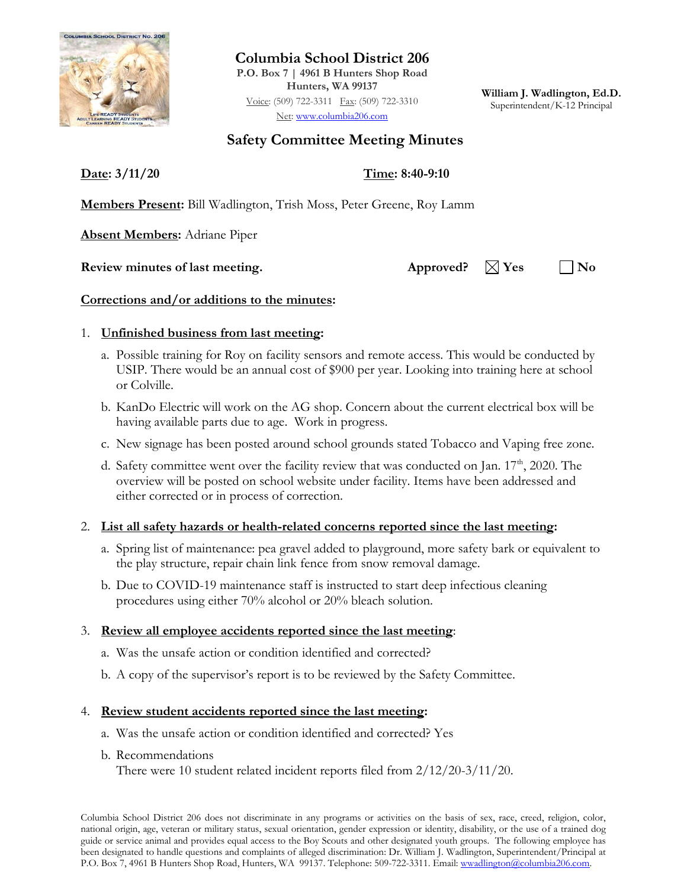

**Columbia School District 206 P.O. Box 7 | 4961 B Hunters Shop Road Hunters, WA 99137**

Voice: (509) 722-3311 Fax: (509) 722-3310 Net: [www.columbia206.com](http://www.columbia206.com/)

**William J. Wadlington, Ed.D.** Superintendent/K-12 Principal

# **Safety Committee Meeting Minutes**

**Date: 3/11/20 Time: 8:40-9:10**

**Members Present:** Bill Wadlington, Trish Moss, Peter Greene, Roy Lamm

**Absent Members:** Adriane Piper

### **Review minutes of last meeting.** Approved?  $\boxtimes$  Yes  $\Box$  No

## **Corrections and/or additions to the minutes:**

### 1. **Unfinished business from last meeting:**

- a. Possible training for Roy on facility sensors and remote access. This would be conducted by USIP. There would be an annual cost of \$900 per year. Looking into training here at school or Colville.
- b. KanDo Electric will work on the AG shop. Concern about the current electrical box will be having available parts due to age. Work in progress.
- c. New signage has been posted around school grounds stated Tobacco and Vaping free zone.
- d. Safety committee went over the facility review that was conducted on Jan.  $17<sup>th</sup>$ , 2020. The overview will be posted on school website under facility. Items have been addressed and either corrected or in process of correction.

## 2. **List all safety hazards or health-related concerns reported since the last meeting:**

- a. Spring list of maintenance: pea gravel added to playground, more safety bark or equivalent to the play structure, repair chain link fence from snow removal damage.
- b. Due to COVID-19 maintenance staff is instructed to start deep infectious cleaning procedures using either 70% alcohol or 20% bleach solution.

### 3. **Review all employee accidents reported since the last meeting**:

- a. Was the unsafe action or condition identified and corrected?
- b. A copy of the supervisor's report is to be reviewed by the Safety Committee.

## 4. **Review student accidents reported since the last meeting:**

- a. Was the unsafe action or condition identified and corrected? Yes
- b. Recommendations

There were 10 student related incident reports filed from 2/12/20-3/11/20.

Columbia School District 206 does not discriminate in any programs or activities on the basis of sex, race, creed, religion, color, national origin, age, veteran or military status, sexual orientation, gender expression or identity, disability, or the use of a trained dog guide or service animal and provides equal access to the Boy Scouts and other designated youth groups. The following employee has been designated to handle questions and complaints of alleged discrimination: Dr. William J. Wadlington, Superintendent/Principal at P.O. Box 7, 4961 B Hunters Shop Road, Hunters, WA 99137. Telephone: 509-722-3311. Email: wwadlington@columbia206.com.